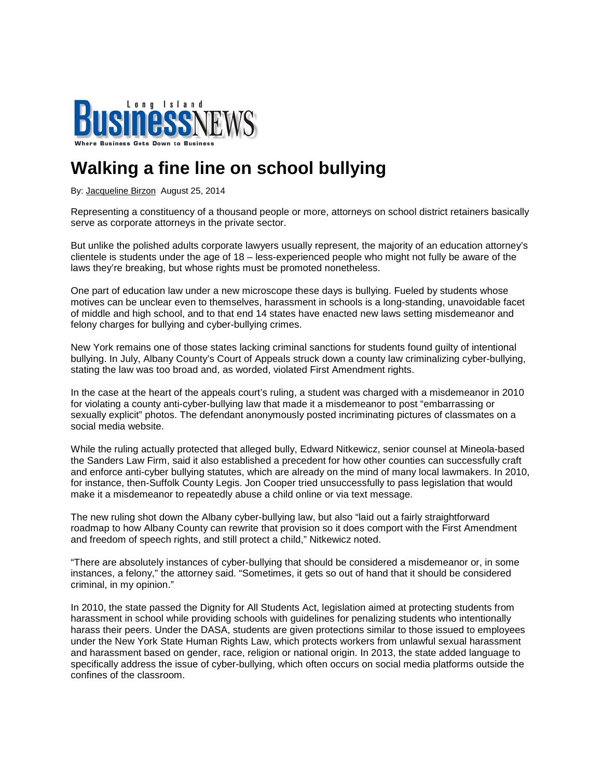

## **Walking a fine line on school bullying**

By: Jacqueline Birzon August 25, 2014

Representing a constituency of a thousand people or more, attorneys on school district retainers basically serve as corporate attorneys in the private sector.

But unlike the polished adults corporate lawyers usually represent, the majority of an education attorney's clientele is students under the age of 18 – less-experienced people who might not fully be aware of the laws they're breaking, but whose rights must be promoted nonetheless.

One part of education law under a new microscope these days is bullying. Fueled by students whose motives can be unclear even to themselves, harassment in schools is a long-standing, unavoidable facet of middle and high school, and to that end 14 states have enacted new laws setting misdemeanor and felony charges for bullying and cyber-bullying crimes.

New York remains one of those states lacking criminal sanctions for students found guilty of intentional bullying. In July, Albany County's Court of Appeals struck down a county law criminalizing cyber-bullying, stating the law was too broad and, as worded, violated First Amendment rights.

In the case at the heart of the appeals court's ruling, a student was charged with a misdemeanor in 2010 for violating a county anti-cyber-bullying law that made it a misdemeanor to post "embarrassing or sexually explicit" photos. The defendant anonymously posted incriminating pictures of classmates on a social media website.

While the ruling actually protected that alleged bully, Edward Nitkewicz, senior counsel at Mineola-based the Sanders Law Firm, said it also established a precedent for how other counties can successfully craft and enforce anti-cyber bullying statutes, which are already on the mind of many local lawmakers. In 2010, for instance, then-Suffolk County Legis. Jon Cooper tried unsuccessfully to pass legislation that would make it a misdemeanor to repeatedly abuse a child online or via text message.

The new ruling shot down the Albany cyber-bullying law, but also "laid out a fairly straightforward roadmap to how Albany County can rewrite that provision so it does comport with the First Amendment and freedom of speech rights, and still protect a child," Nitkewicz noted.

"There are absolutely instances of cyber-bullying that should be considered a misdemeanor or, in some instances, a felony," the attorney said. "Sometimes, it gets so out of hand that it should be considered criminal, in my opinion."

In 2010, the state passed the Dignity for All Students Act, legislation aimed at protecting students from harassment in school while providing schools with guidelines for penalizing students who intentionally harass their peers. Under the DASA, students are given protections similar to those issued to employees under the New York State Human Rights Law, which protects workers from unlawful sexual harassment and harassment based on gender, race, religion or national origin. In 2013, the state added language to specifically address the issue of cyber-bullying, which often occurs on social media platforms outside the confines of the classroom.